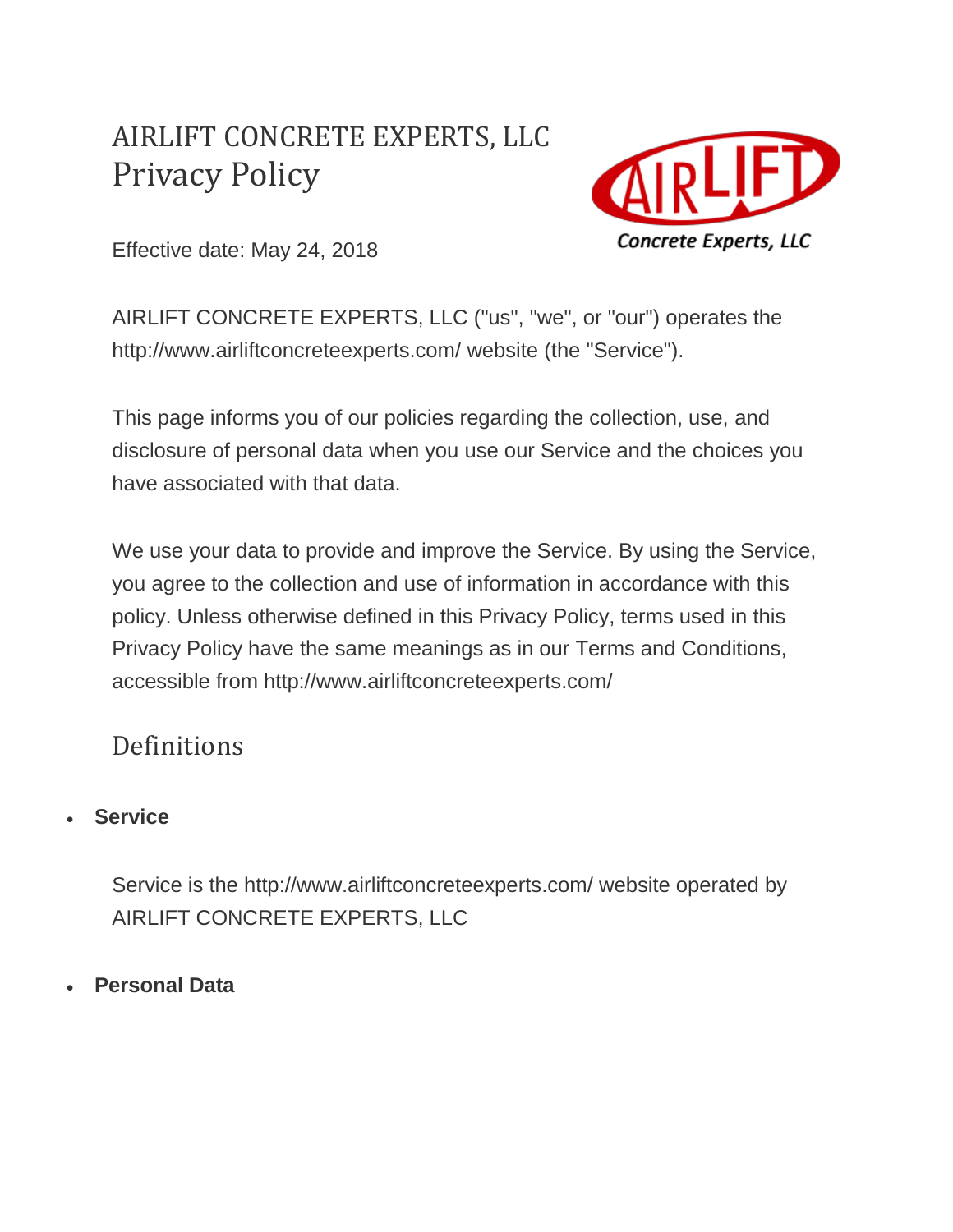# AIRLIFT CONCRETE EXPERTS, LLC Privacy Policy



Effective date: May 24, 2018

AIRLIFT CONCRETE EXPERTS, LLC ("us", "we", or "our") operates the http://www.airliftconcreteexperts.com/ website (the "Service").

This page informs you of our policies regarding the collection, use, and disclosure of personal data when you use our Service and the choices you have associated with that data.

We use your data to provide and improve the Service. By using the Service, you agree to the collection and use of information in accordance with this policy. Unless otherwise defined in this Privacy Policy, terms used in this Privacy Policy have the same meanings as in our Terms and Conditions, accessible from http://www.airliftconcreteexperts.com/

### Definitions

• **Service**

Service is the http://www.airliftconcreteexperts.com/ website operated by AIRLIFT CONCRETE EXPERTS, LLC

• **Personal Data**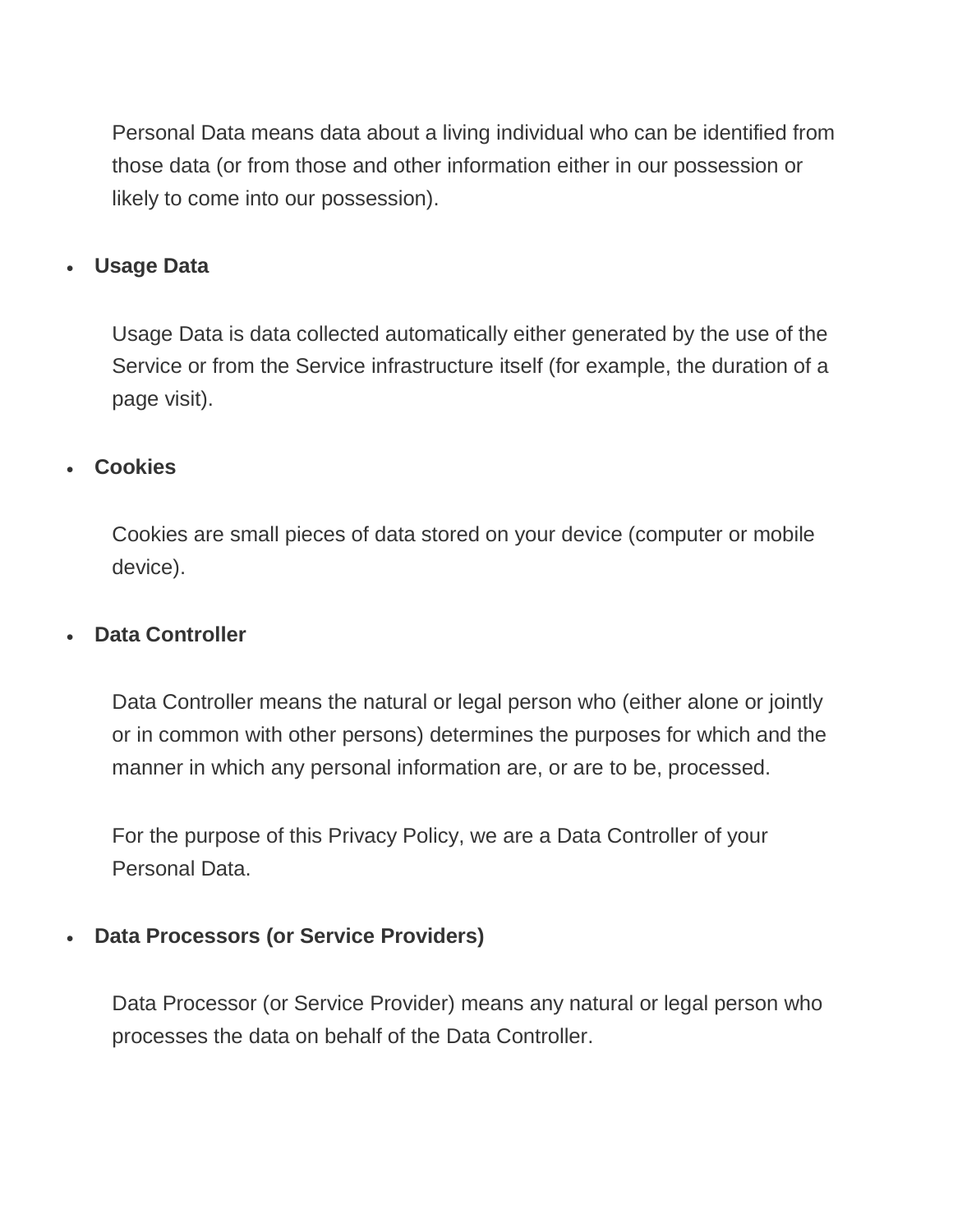Personal Data means data about a living individual who can be identified from those data (or from those and other information either in our possession or likely to come into our possession).

#### • **Usage Data**

Usage Data is data collected automatically either generated by the use of the Service or from the Service infrastructure itself (for example, the duration of a page visit).

#### • **Cookies**

Cookies are small pieces of data stored on your device (computer or mobile device).

#### • **Data Controller**

Data Controller means the natural or legal person who (either alone or jointly or in common with other persons) determines the purposes for which and the manner in which any personal information are, or are to be, processed.

For the purpose of this Privacy Policy, we are a Data Controller of your Personal Data.

#### • **Data Processors (or Service Providers)**

Data Processor (or Service Provider) means any natural or legal person who processes the data on behalf of the Data Controller.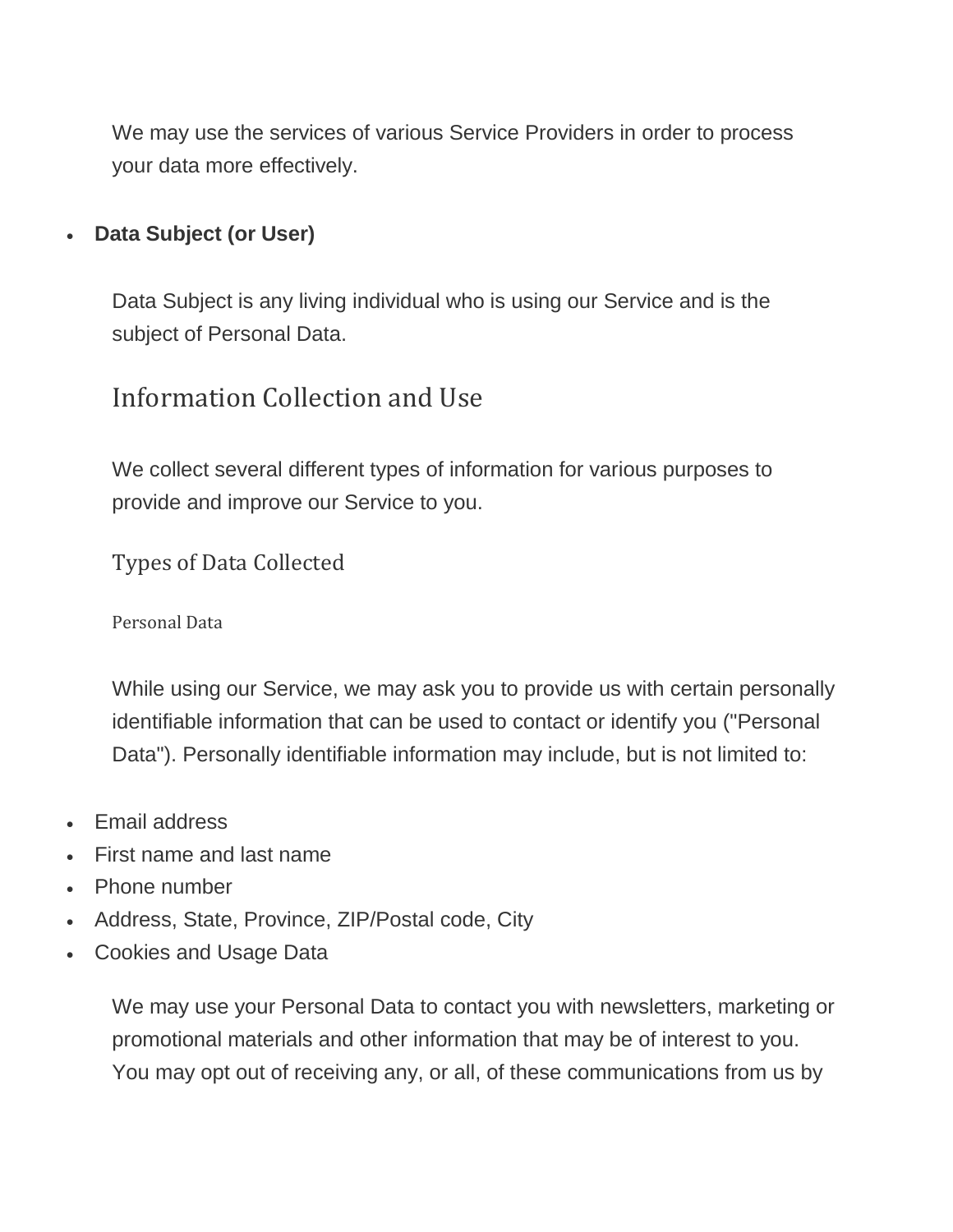We may use the services of various Service Providers in order to process your data more effectively.

### • **Data Subject (or User)**

Data Subject is any living individual who is using our Service and is the subject of Personal Data.

## Information Collection and Use

We collect several different types of information for various purposes to provide and improve our Service to you.

Types of Data Collected

Personal Data

While using our Service, we may ask you to provide us with certain personally identifiable information that can be used to contact or identify you ("Personal Data"). Personally identifiable information may include, but is not limited to:

- Email address
- First name and last name
- Phone number
- Address, State, Province, ZIP/Postal code, City
- Cookies and Usage Data

We may use your Personal Data to contact you with newsletters, marketing or promotional materials and other information that may be of interest to you. You may opt out of receiving any, or all, of these communications from us by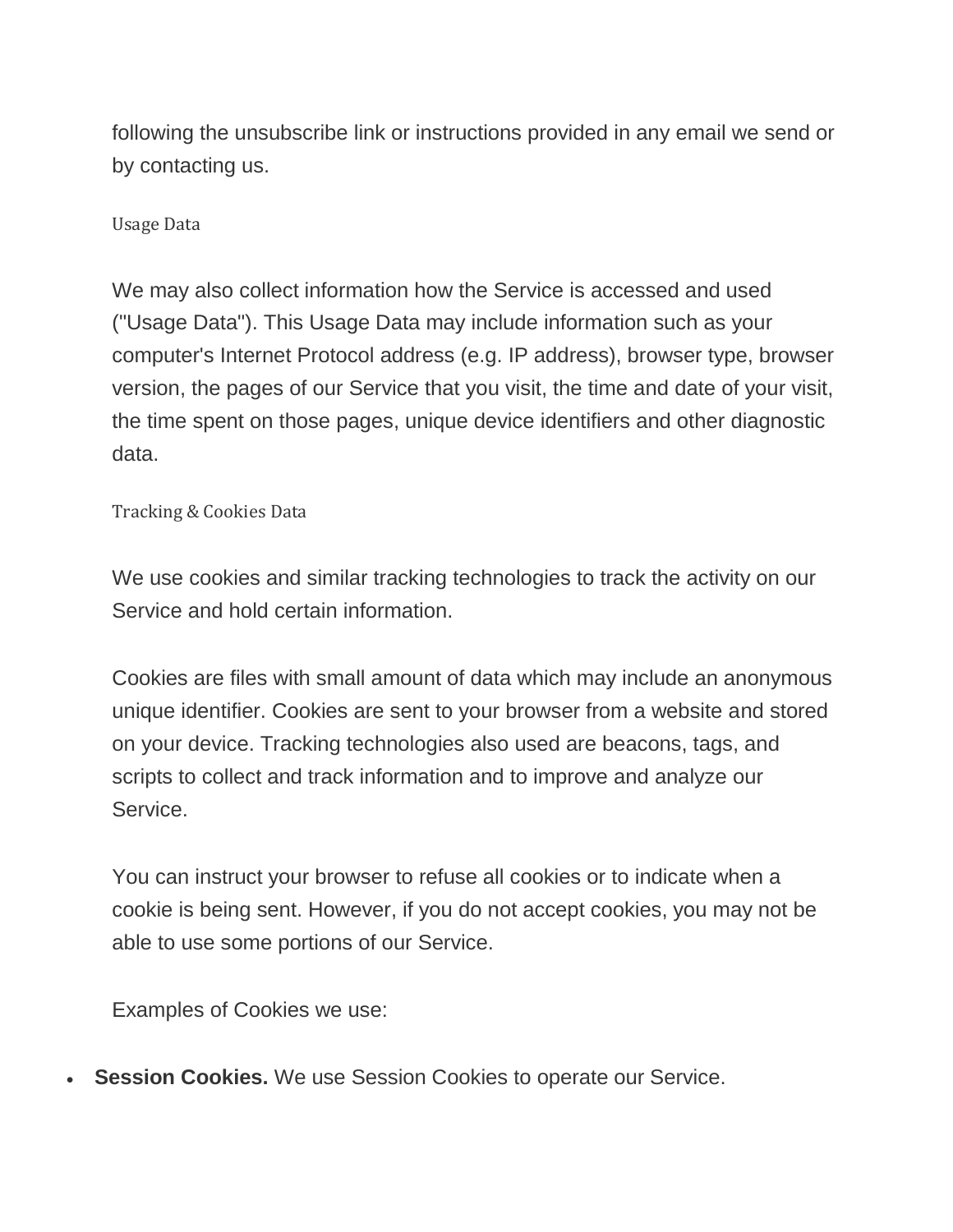following the unsubscribe link or instructions provided in any email we send or by contacting us.

Usage Data

We may also collect information how the Service is accessed and used ("Usage Data"). This Usage Data may include information such as your computer's Internet Protocol address (e.g. IP address), browser type, browser version, the pages of our Service that you visit, the time and date of your visit, the time spent on those pages, unique device identifiers and other diagnostic data.

Tracking & Cookies Data

We use cookies and similar tracking technologies to track the activity on our Service and hold certain information.

Cookies are files with small amount of data which may include an anonymous unique identifier. Cookies are sent to your browser from a website and stored on your device. Tracking technologies also used are beacons, tags, and scripts to collect and track information and to improve and analyze our Service.

You can instruct your browser to refuse all cookies or to indicate when a cookie is being sent. However, if you do not accept cookies, you may not be able to use some portions of our Service.

Examples of Cookies we use:

**Session Cookies.** We use Session Cookies to operate our Service.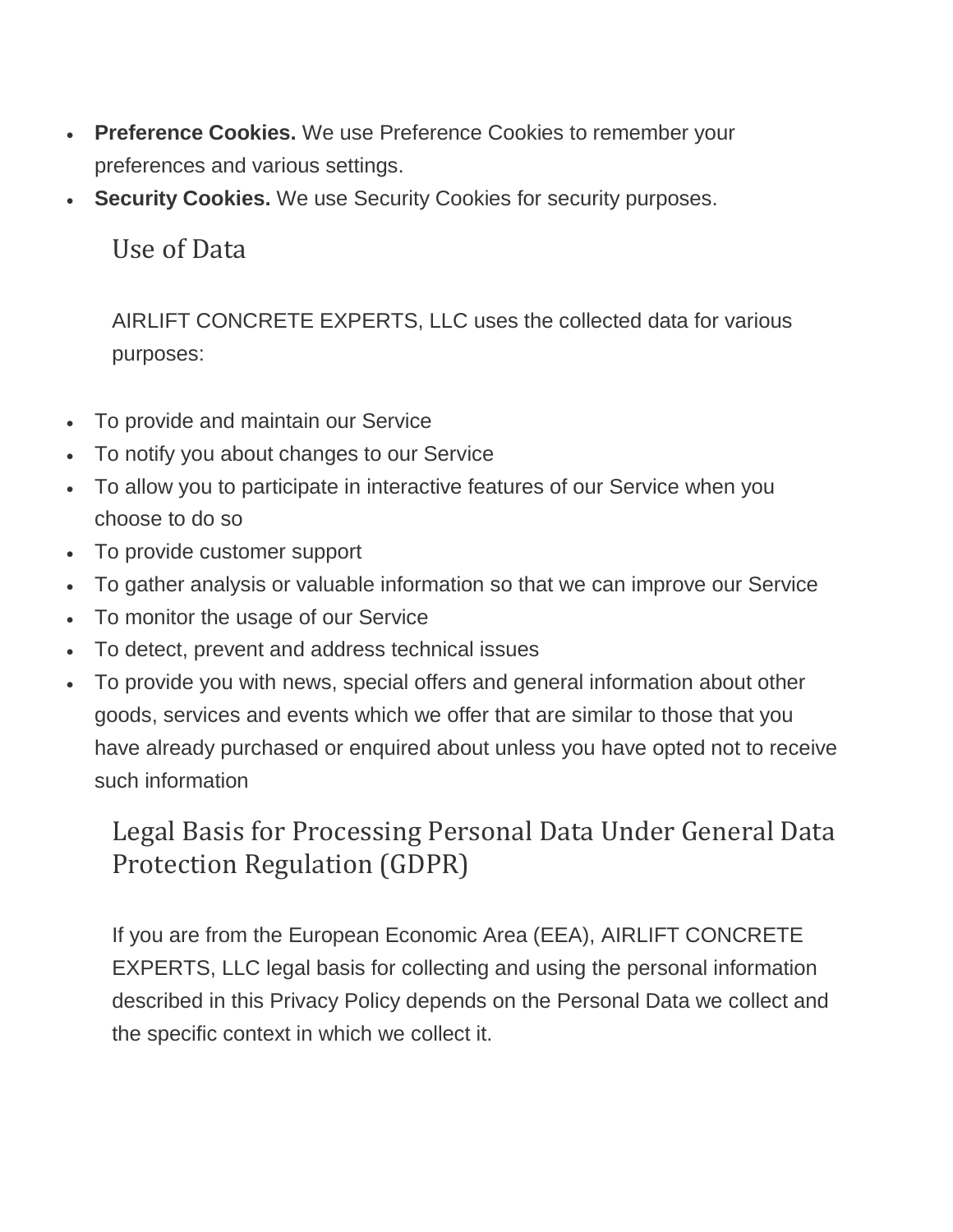- **Preference Cookies.** We use Preference Cookies to remember your preferences and various settings.
- **Security Cookies.** We use Security Cookies for security purposes.

Use of Data

AIRLIFT CONCRETE EXPERTS, LLC uses the collected data for various purposes:

- To provide and maintain our Service
- To notify you about changes to our Service
- To allow you to participate in interactive features of our Service when you choose to do so
- To provide customer support
- To gather analysis or valuable information so that we can improve our Service
- To monitor the usage of our Service
- To detect, prevent and address technical issues
- To provide you with news, special offers and general information about other goods, services and events which we offer that are similar to those that you have already purchased or enquired about unless you have opted not to receive such information

## Legal Basis for Processing Personal Data Under General Data Protection Regulation (GDPR)

If you are from the European Economic Area (EEA), AIRLIFT CONCRETE EXPERTS, LLC legal basis for collecting and using the personal information described in this Privacy Policy depends on the Personal Data we collect and the specific context in which we collect it.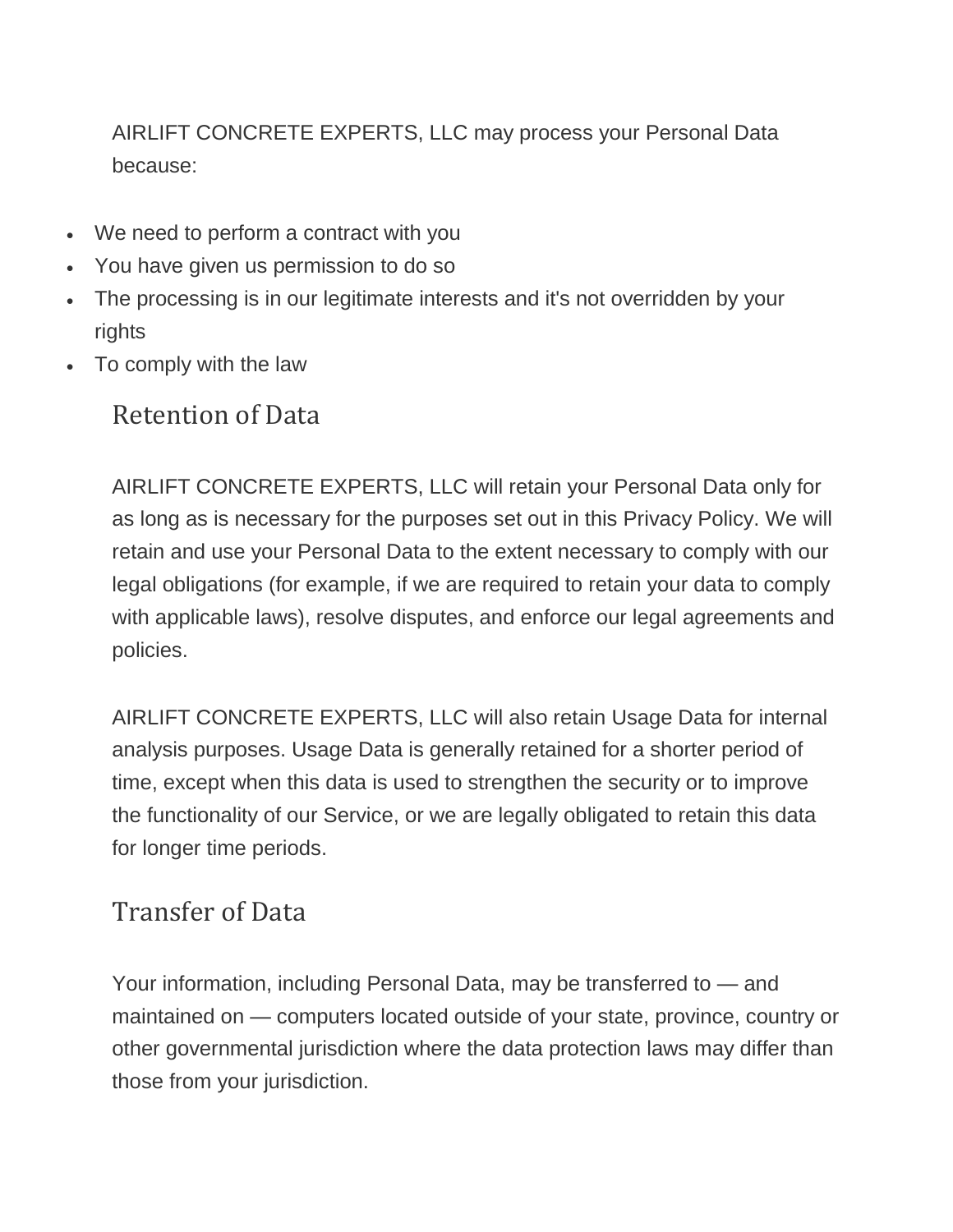AIRLIFT CONCRETE EXPERTS, LLC may process your Personal Data because:

- We need to perform a contract with you
- You have given us permission to do so
- The processing is in our legitimate interests and it's not overridden by your rights
- To comply with the law

### Retention of Data

AIRLIFT CONCRETE EXPERTS, LLC will retain your Personal Data only for as long as is necessary for the purposes set out in this Privacy Policy. We will retain and use your Personal Data to the extent necessary to comply with our legal obligations (for example, if we are required to retain your data to comply with applicable laws), resolve disputes, and enforce our legal agreements and policies.

AIRLIFT CONCRETE EXPERTS, LLC will also retain Usage Data for internal analysis purposes. Usage Data is generally retained for a shorter period of time, except when this data is used to strengthen the security or to improve the functionality of our Service, or we are legally obligated to retain this data for longer time periods.

### Transfer of Data

Your information, including Personal Data, may be transferred to — and maintained on — computers located outside of your state, province, country or other governmental jurisdiction where the data protection laws may differ than those from your jurisdiction.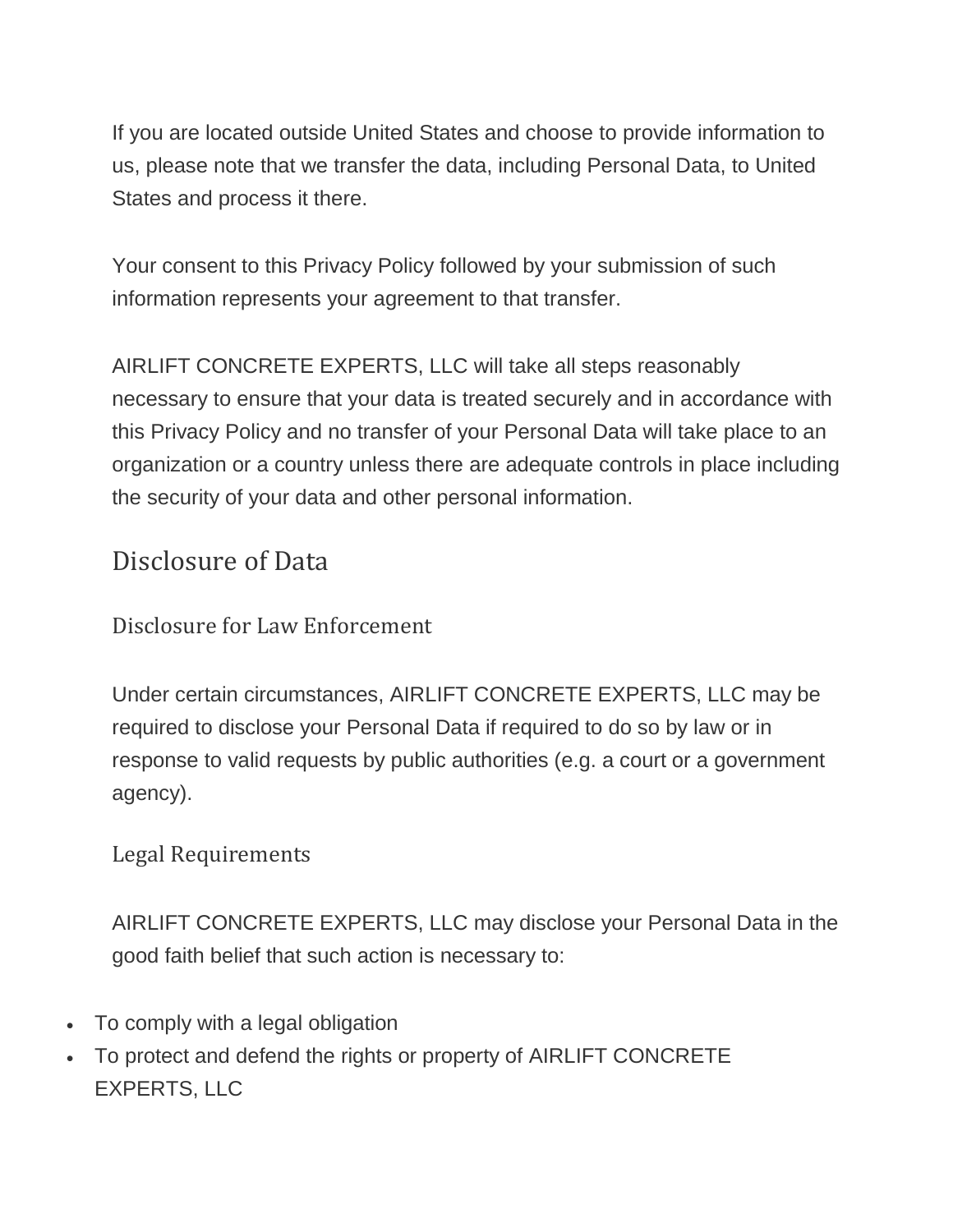If you are located outside United States and choose to provide information to us, please note that we transfer the data, including Personal Data, to United States and process it there.

Your consent to this Privacy Policy followed by your submission of such information represents your agreement to that transfer.

AIRLIFT CONCRETE EXPERTS, LLC will take all steps reasonably necessary to ensure that your data is treated securely and in accordance with this Privacy Policy and no transfer of your Personal Data will take place to an organization or a country unless there are adequate controls in place including the security of your data and other personal information.

### Disclosure of Data

Disclosure for Law Enforcement

Under certain circumstances, AIRLIFT CONCRETE EXPERTS, LLC may be required to disclose your Personal Data if required to do so by law or in response to valid requests by public authorities (e.g. a court or a government agency).

### Legal Requirements

AIRLIFT CONCRETE EXPERTS, LLC may disclose your Personal Data in the good faith belief that such action is necessary to:

- To comply with a legal obligation
- To protect and defend the rights or property of AIRLIFT CONCRETE EXPERTS, LLC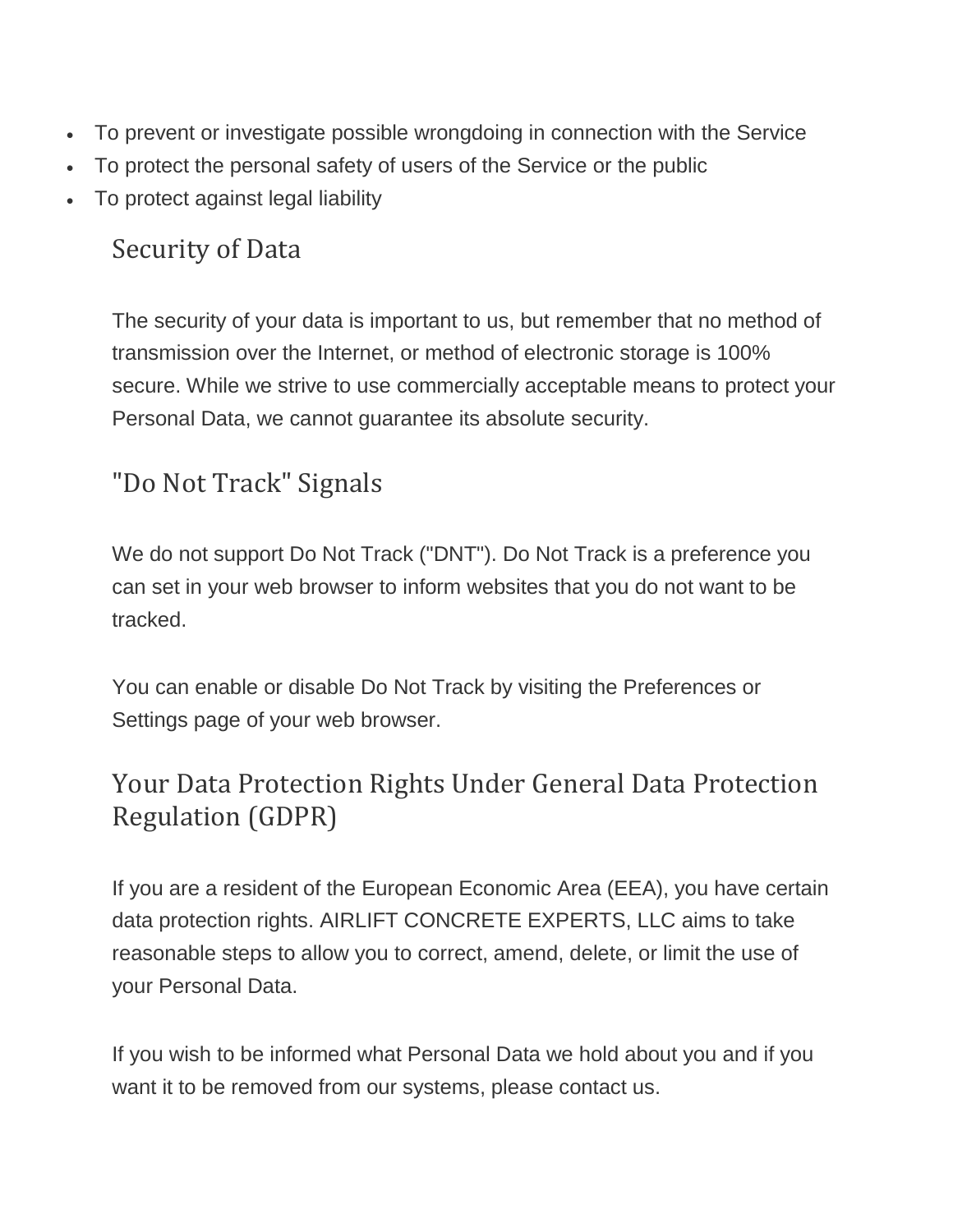- To prevent or investigate possible wrongdoing in connection with the Service
- To protect the personal safety of users of the Service or the public
- To protect against legal liability

## Security of Data

The security of your data is important to us, but remember that no method of transmission over the Internet, or method of electronic storage is 100% secure. While we strive to use commercially acceptable means to protect your Personal Data, we cannot guarantee its absolute security.

## "Do Not Track" Signals

We do not support Do Not Track ("DNT"). Do Not Track is a preference you can set in your web browser to inform websites that you do not want to be tracked.

You can enable or disable Do Not Track by visiting the Preferences or Settings page of your web browser.

## Your Data Protection Rights Under General Data Protection Regulation (GDPR)

If you are a resident of the European Economic Area (EEA), you have certain data protection rights. AIRLIFT CONCRETE EXPERTS, LLC aims to take reasonable steps to allow you to correct, amend, delete, or limit the use of your Personal Data.

If you wish to be informed what Personal Data we hold about you and if you want it to be removed from our systems, please contact us.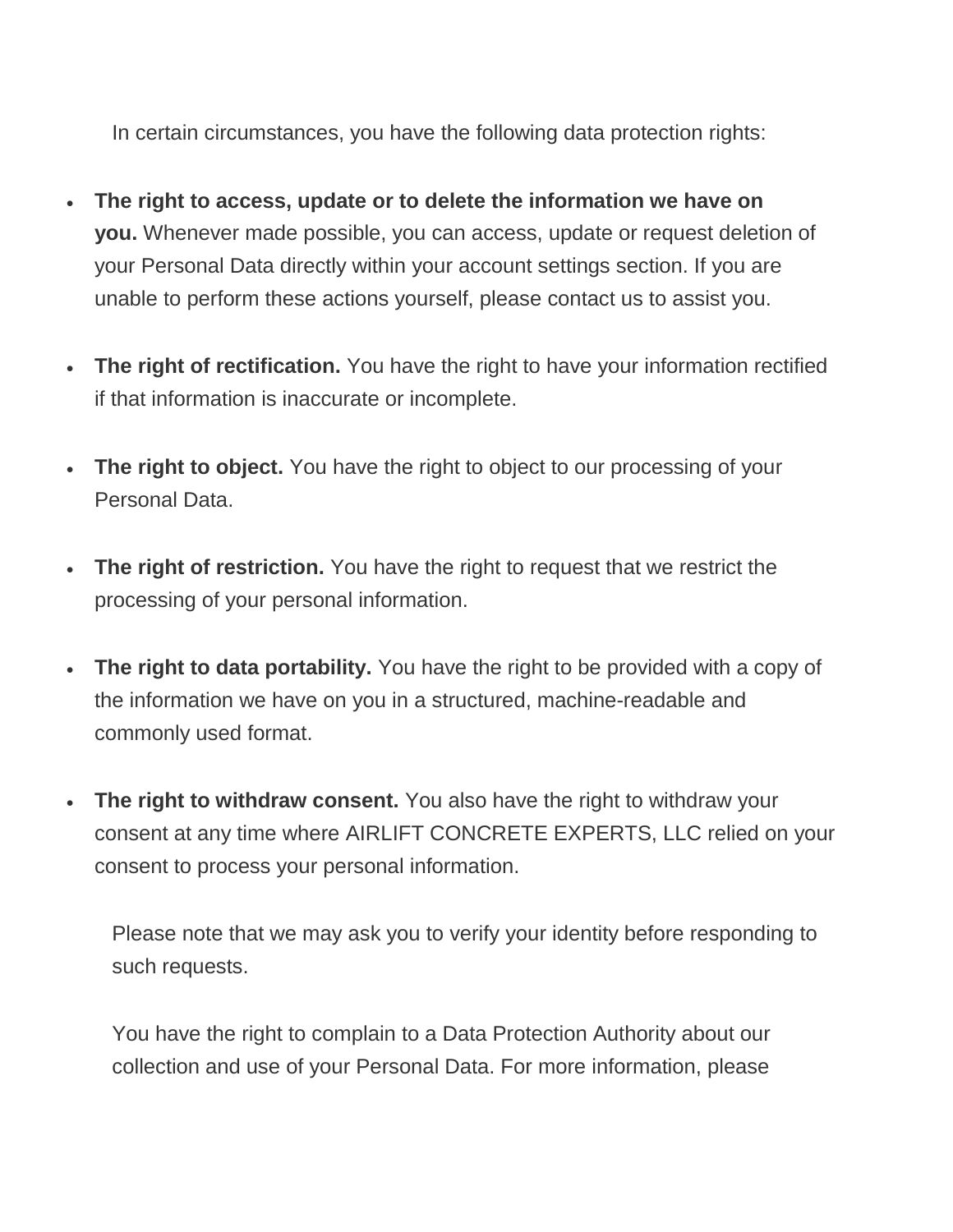In certain circumstances, you have the following data protection rights:

- **The right to access, update or to delete the information we have on you.** Whenever made possible, you can access, update or request deletion of your Personal Data directly within your account settings section. If you are unable to perform these actions yourself, please contact us to assist you.
- **The right of rectification.** You have the right to have your information rectified if that information is inaccurate or incomplete.
- **The right to object.** You have the right to object to our processing of your Personal Data.
- **The right of restriction.** You have the right to request that we restrict the processing of your personal information.
- **The right to data portability.** You have the right to be provided with a copy of the information we have on you in a structured, machine-readable and commonly used format.
- **The right to withdraw consent.** You also have the right to withdraw your consent at any time where AIRLIFT CONCRETE EXPERTS, LLC relied on your consent to process your personal information.

Please note that we may ask you to verify your identity before responding to such requests.

You have the right to complain to a Data Protection Authority about our collection and use of your Personal Data. For more information, please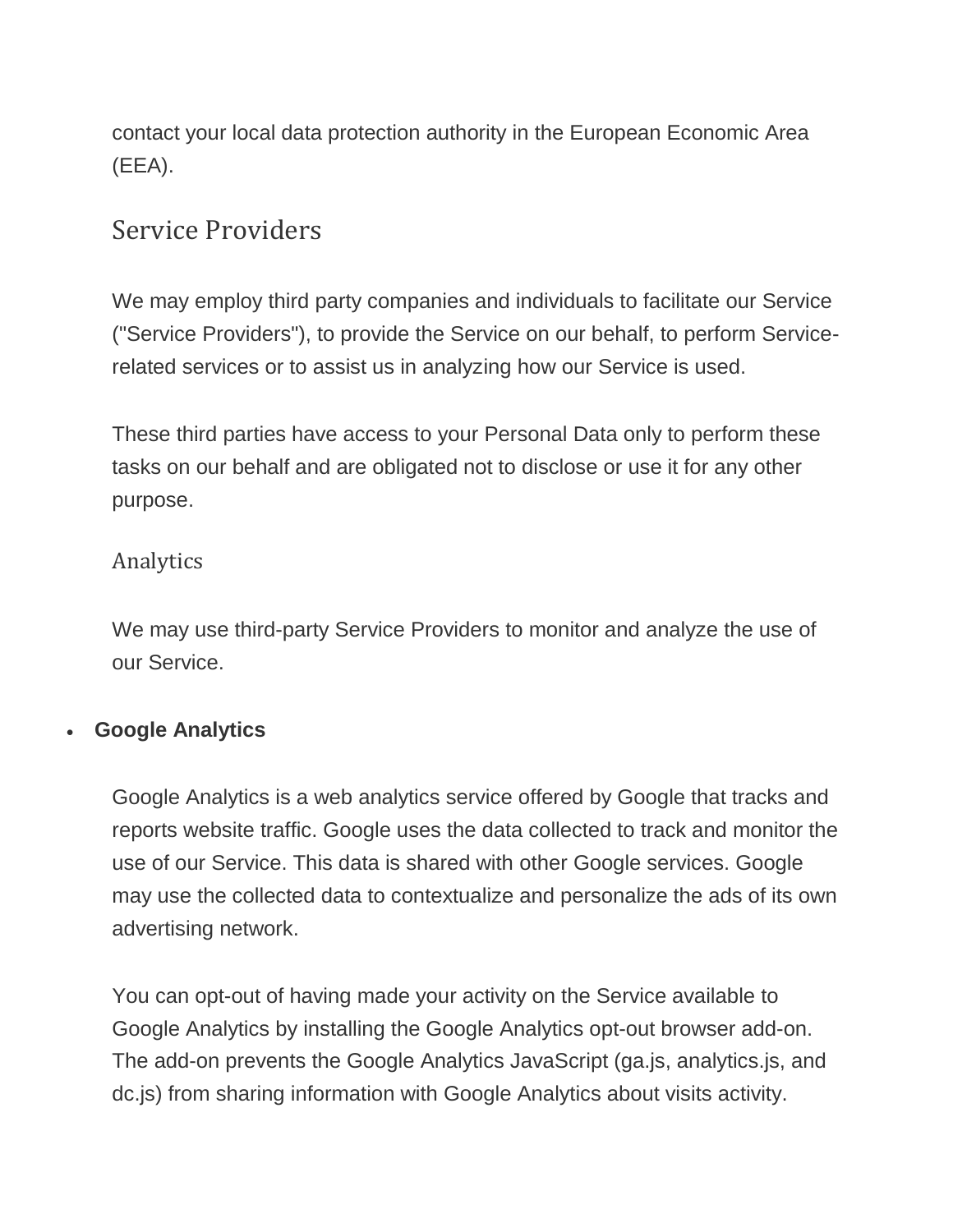contact your local data protection authority in the European Economic Area (EEA).

### Service Providers

We may employ third party companies and individuals to facilitate our Service ("Service Providers"), to provide the Service on our behalf, to perform Servicerelated services or to assist us in analyzing how our Service is used.

These third parties have access to your Personal Data only to perform these tasks on our behalf and are obligated not to disclose or use it for any other purpose.

### Analytics

We may use third-party Service Providers to monitor and analyze the use of our Service.

### • **Google Analytics**

Google Analytics is a web analytics service offered by Google that tracks and reports website traffic. Google uses the data collected to track and monitor the use of our Service. This data is shared with other Google services. Google may use the collected data to contextualize and personalize the ads of its own advertising network.

You can opt-out of having made your activity on the Service available to Google Analytics by installing the Google Analytics opt-out browser add-on. The add-on prevents the Google Analytics JavaScript (ga.js, analytics.js, and dc.js) from sharing information with Google Analytics about visits activity.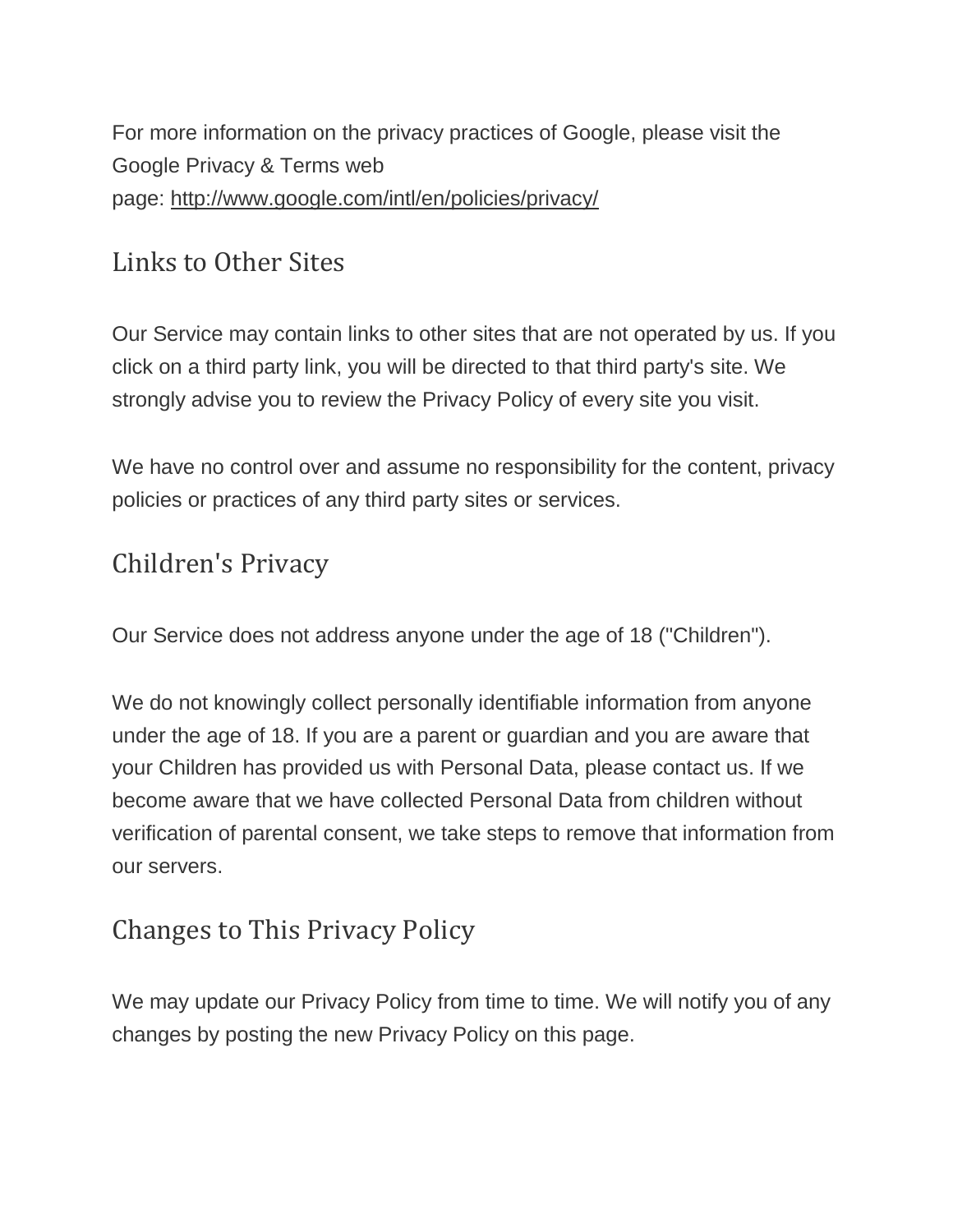For more information on the privacy practices of Google, please visit the Google Privacy & Terms web page: <http://www.google.com/intl/en/policies/privacy/>

### Links to Other Sites

Our Service may contain links to other sites that are not operated by us. If you click on a third party link, you will be directed to that third party's site. We strongly advise you to review the Privacy Policy of every site you visit.

We have no control over and assume no responsibility for the content, privacy policies or practices of any third party sites or services.

### Children's Privacy

Our Service does not address anyone under the age of 18 ("Children").

We do not knowingly collect personally identifiable information from anyone under the age of 18. If you are a parent or guardian and you are aware that your Children has provided us with Personal Data, please contact us. If we become aware that we have collected Personal Data from children without verification of parental consent, we take steps to remove that information from our servers.

### Changes to This Privacy Policy

We may update our Privacy Policy from time to time. We will notify you of any changes by posting the new Privacy Policy on this page.